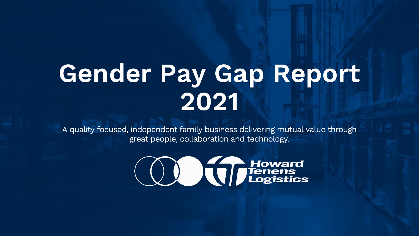# **Gender Pay Gap Report 2021**

A quality focused, independent family business delivering mutual value through great people, collaboration and technology.

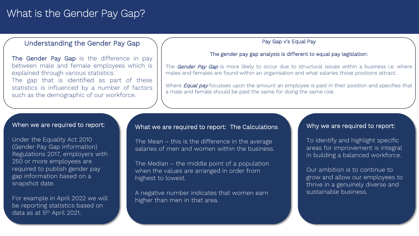# What is the Gender Pay Gap?

## Understanding the Gender Pay Gap

The Gender Pay Gap is the difference in pay between male and female employees which is explained through various statistics.

The gap that is identified as part of these statistics is influenced by a number of factors such as the demographic of our workforce.

#### Pay Gap v's Equal Pay

#### The gender pay gap analysis is different to equal pay legislation:

The Gender Pay Gap is more likely to occur due to structural issues within a business i.e. where males and females are found within an organisation and what salaries those positions attract.

Where *Equal pay* focusses upon the amount an employee is paid in their position and specifies that a male and female should be paid the same for doing the same role.

#### When we are required to report:

Under the Equality Act 2010 (Gender Pay Gap Information) Regulations 2017, employers with 250 or more employees are required to publish gender pay gap information based on a snapshot date.

For example in April 2022 we will be reporting statistics based on data as at 5<sup>th</sup> April 2021.

## What we are required to report: The Calculations

The Mean – this is the difference in the average salaries of men and women within the business.

The Median – the middle point of a population when the values are arranged in order from highest to lowest.

A negative number indicates that women earn higher than men in that area.

### Why we are required to report:

To identify and highlight specific areas for improvement is integral in building a balanced workforce.

Our ambition is to continue to grow and allow our employees to thrive in a genuinely diverse and sustainable business.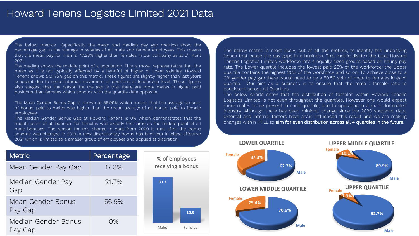# Howard Tenens Logistics Limited 2021 Data

The below metrics (specifically the mean and median pay gap metrics) show the percentage gap in the average in salaries of all male and female employees. This means that the mean pay for men is 17.28% higher than females in our company as at  $5<sup>th</sup>$  April 2021.

The median shows the middle point of a population. This is more representative than the mean as it is not typically affected by a handful of higher or lower salaries. Howard Tenens shows a 21.75% gap on this metric. These figures are slightly higher than last years snapshot due to some internal movement of positions at leadership level. These figures also suggest that the reason for the gap is that there are more males in higher paid positions than females which concurs with the quartile data opposite.

The Mean Gender Bonus Gap is shown at 56.99% which means that the average amount of bonus' paid to males was higher than the mean average of all bonus' paid to female employees.

The Median Gender Bonus Gap at Howard Tenens is 0% which demonstrates that the last external external external middle point of all bonuses for females was exactly the same as the middle point of all male bonuses. The reason for this change in data from 2020 is that after the bonus scheme was changed in 2019, a new discretionary bonus has been put in place effective 2021 which is limited to a smaller group of employees and applied at discretion.

The below metric is most likely, out of all the metrics, to identify the underlying issues that cause the pay gaps in a business. This metric divides the total Howard Tenens Logistics Limited workforce into 4 equally sized groups based on hourly pay rate. The Lower quartile includes the lowest paid 25% of the workforce; the Upper quartile contains the highest 25% of the workforce and so on. To achieve close to a 0% gender pay gap there would need to be a 50:50 split of male to females in each quartile. Our aim as a business is to ensure that the male : female ratio is consistent across all Quartiles.

The below charts show that the distribution of females within Howard Tenens Logistics Limited is not even throughout the quartiles. However one would expect more males to be present in each quartile, due to operating in a male dominated industry. Although there has been minimal change since the 2020 snapshot data, external and internal factors have again influenced this result and we are making changes within HTLL to aim for even distribution across all 4 quartiles in the future.